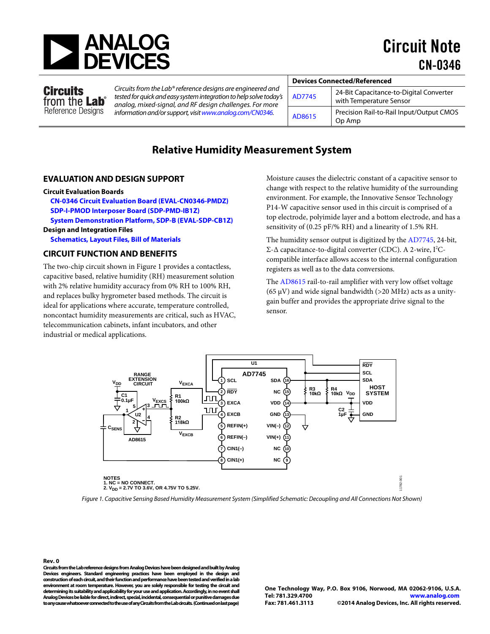

Circuit Note CN-0346

### Circuits from the Lab<sup>®</sup> Reference Designs

*Circuits from the Lab®reference designs are engineered and tested for quick and easy system integration to help solve today's analog, mixed-signal, and RF design challenges. For more information and/or support, visi[twww.analog.com/CN0346.](http://www.analog.com/CN0346?doc=CN0346.pdf)*

| <b>Devices Connected/Referenced</b> |        |                                                    |
|-------------------------------------|--------|----------------------------------------------------|
|                                     |        |                                                    |
|                                     | AD7745 | 24-Bit Capacitance-to-Digital Converter            |
|                                     |        | with Temperature Sensor                            |
|                                     | AD8615 | Precision Rail-to-Rail Input/Output CMOS<br>Op Amp |

## **Relative Humidity Measurement System**

### **EVALUATION AND DESIGN SUPPORT**

### **Circuit Evaluation Boards**

**[CN-0346 Circuit Evaluation Board \(EVAL-CN0346-PMDZ\)](http://www.analog.com/EVAL-CN0346-PMDZ?doc=cn0346.pdf) [SDP-I-PMOD Interposer Board \(SDP-PMD-IB1Z\)](http://www.analog.com/SDP-PMD-IB1Z?doc=cn0346.pdf) [System Demonstration Platform, SDP-B \(EVAL-SDP-CB1Z\)](http://www.analog.com/EVAL-SDP-CB1Z?doc=cn0346.pdf) Design and Integration Files**

**[Schematics, Layout Files, Bill of Materials](http://www.analog.com/CN0346-DesignSupport?doc=CN0346.pdf)**

### **CIRCUIT FUNCTION AND BENEFITS**

The two-chip circuit shown in [Figure 1](#page-0-0) provides a contactless, capacitive based, relative humidity (RH) measurement solution with 2% relative humidity accuracy from 0% RH to 100% RH, and replaces bulky hygrometer based methods. The circuit is ideal for applications where accurate, temperature controlled, noncontact humidity measurements are critical, such as HVAC, telecommunication cabinets, infant incubators, and other industrial or medical applications.

Moisture causes the dielectric constant of a capacitive sensor to change with respect to the relative humidity of the surrounding environment. For example, the Innovative Sensor Technology P14-W capacitive sensor used in this circuit is comprised of a top electrode, polyimide layer and a bottom electrode, and has a sensitivity of (0.25 pF/% RH) and a linearity of 1.5% RH.

The humidity sensor output is digitized by the [AD7745,](http://www.analog.com/AD7745?doc=CN0346.pdf) 24-bit, Σ-Δ capacitance-to-digital converter (CDC). A 2-wire, I 2 Ccompatible interface allows access to the internal configuration registers as well as to the data conversions.

The [AD8615](http://www.analog.com/AD8615?doc=cn0346.pdf) rail-to-rail amplifier with very low offset voltage (65  $\mu$ V) and wide signal bandwidth (>20 MHz) acts as a unitygain buffer and provides the appropriate drive signal to the sensor.



<span id="page-0-0"></span>*Figure 1. Capacitive Sensing Based Humidity Measurement System (Simplified Schematic: Decoupling and All Connections Not Shown)* 

**Rev. 0 Circuits from the Lab reference designs from Analog Devices have been designed and built by Analog Devices engineers. Standard engineering practices have been employed in the design and construction of each circuit, and their function and performance have been tested and verified in a lab environment at room temperature. However, you are solely responsible for testing the circuit and determining its suitability and applicability for your use and application. Accordingly, in no event shall Analog Devices be liable for direct, indirect, special, incidental, consequential or punitive damages due to any cause whatsoever connected to the use of any Circuits from the Lab circuits. (Continued on last page)**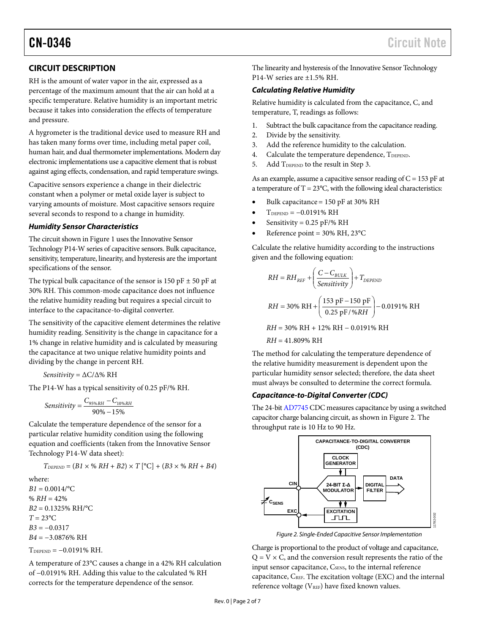## **CIRCUIT DESCRIPTION**

RH is the amount of water vapor in the air, expressed as a percentage of the maximum amount that the air can hold at a specific temperature. Relative humidity is an important metric because it takes into consideration the effects of temperature and pressure.

A hygrometer is the traditional device used to measure RH and has taken many forms over time, including metal paper coil, human hair, and dual thermometer implementations. Modern day electronic implementations use a capacitive element that is robust against aging effects, condensation, and rapid temperature swings.

Capacitive sensors experience a change in their dielectric constant when a polymer or metal oxide layer is subject to varying amounts of moisture. Most capacitive sensors require several seconds to respond to a change in humidity.

### *Humidity Sensor Characteristics*

The circuit shown i[n Figure 1](#page-0-0) uses the Innovative Sensor Technology P14-W series of capacitive sensors. Bulk capacitance, sensitivity, temperature, linearity, and hysteresis are the important specifications of the sensor.

The typical bulk capacitance of the sensor is 150 pF  $\pm$  50 pF at 30% RH. This common-mode capacitance does not influence the relative humidity reading but requires a special circuit to interface to the capacitance-to-digital converter.

The sensitivity of the capacitive element determines the relative humidity reading. Sensitivity is the change in capacitance for a 1% change in relative humidity and is calculated by measuring the capacitance at two unique relative humidity points and dividing by the change in percent RH.

*Sensitivity* = ΔC/Δ% RH

The P14-W has a typical sensitivity of 0.25 pF/% RH.

$$
Sensitivity = \frac{C_{95\%RH} - C_{10\%RH}}{90\% - 15\%}
$$

Calculate the temperature dependence of the sensor for a particular relative humidity condition using the following equation and coefficients (taken from the Innovative Sensor Technology P14-W data sheet):

$$
T_{DEPEND} = (B1 \times \% \ RH + B2) \times T [^{\circ}C] + (B3 \times \% \ RH + B4)
$$

where:  $B1 = 0.0014$ /°C  $% RH = 42\%$ *B2* = 0.1325% RH/°C *T* = 23°C *B3* = −0.0317 *B4* = −3.0876% RH

 $T_{\text{DEPEND}} = -0.0191\% \text{ RH}.$ 

A temperature of 23°C causes a change in a 42% RH calculation of −0.0191% RH. Adding this value to the calculated % RH corrects for the temperature dependence of the sensor.

The linearity and hysteresis of the Innovative Sensor Technology P14-W series are ±1.5% RH.

### *Calculating Relative Humidity*

Relative humidity is calculated from the capacitance, C, and temperature, T, readings as follows:

- 1. Subtract the bulk capacitance from the capacitance reading.
- 2. Divide by the sensitivity.
- 3. Add the reference humidity to the calculation.
- 4. Calculate the temperature dependence, TDEPEND.
- 5. Add TDEPEND to the result in Step 3.

As an example, assume a capacitive sensor reading of  $C = 153$  pF at a temperature of  $T = 23^{\circ}$ C, with the following ideal characteristics:

- Bulk capacitance= 150 pF at 30% RH
- $T_{\text{DEPEND}} = -0.0191\% \text{ RH}$
- Sensitivity =  $0.25$  pF/% RH
- Reference point = 30% RH, 23°C

Calculate the relative humidity according to the instructions given and the following equation:

$$
RH = RH_{REF} + \left(\frac{C - C_{BULK}}{Sensitivity}\right) + T_{DEPEND}
$$
  
 
$$
RH = 30\% \text{ RH} + \left(\frac{153 \text{ pF} - 150 \text{ pF}}{0.25 \text{ pF} / \%RH}\right) - 0.0191\% \text{ RH}
$$

*RH* = 30% RH + 12% RH − 0.0191% RH

*RH* = 41.809% RH

The method for calculating the temperature dependence of the relative humidity measurement is dependent upon the particular humidity sensor selected; therefore, the data sheet must always be consulted to determine the correct formula.

### *Capacitance-to-Digital Converter (CDC)*

The 24-bi[t AD7745](http://www.analog.com/AD7745?doc=CN0346.pdf) CDC measures capacitance by using a switched capacitor charge balancing circuit, as shown i[n Figure 2.](#page-1-0) The throughput rate is 10 Hz to 90 Hz.



*Figure 2. Single-Ended Capacitive Sensor Implementation*

<span id="page-1-0"></span>Charge is proportional to the product of voltage and capacitance,  $Q = V \times C$ , and the conversion result represents the ratio of the input sensor capacitance, C<sub>SENS</sub>, to the internal reference capacitance, CREF. The excitation voltage (EXC) and the internal reference voltage ( $V_{REF}$ ) have fixed known values.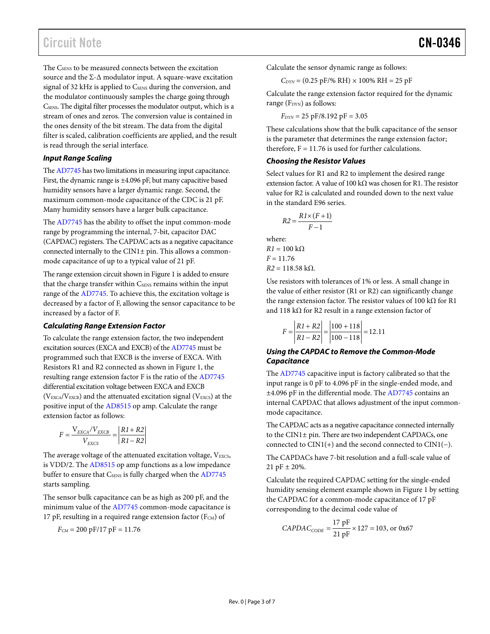# Circuit Note **CN-0346**

The C<sub>SENS</sub> to be measured connects between the excitation source and the  $\Sigma$ - $\Delta$  modulator input. A square-wave excitation signal of 32 kHz is applied to CSENS during the conversion, and the modulator continuously samples the charge going through CSENS. The digital filter processes the modulator output, which is a stream of ones and zeros. The conversion value is contained in the ones density of the bit stream. The data from the digital filter is scaled, calibration coefficients are applied, and the result is read through the serial interface.

### **Input Range Scaling**

Th[e AD7745 h](http://www.analog.com/AD7745?doc=CN0346.pdf)as two limitations in measuring input capacitance. First, the dynamic range is ±4.096 pF, but many capacitive based humidity sensors have a larger dynamic range. Second, the maximum common-mode capacitance of the CDC is 21 pF. Many humidity sensors have a larger bulk capacitance.

The [AD7745 h](http://www.analog.com/AD7745?doc=CN0346.pdf)as the ability to offset the input common-mode range by programming the internal, 7-bit, capacitor DAC (CAPDAC) registers. The CAPDAC acts as a negative capacitance connected internally to the CIN1± pin. This allows a commonmode capacitance of up to a typical value of 21 pF.

The range extension circuit shown i[n Figure 1 i](#page-0-0)s added to ensure that the charge transfer within CSENS remains within the input range of the [AD7745.](http://www.analog.com/AD7745?doc=CN0346.pdf) To achieve this, the excitation voltage is decreased by a factor of F, allowing the sensor capacitance to be increased by a factor of F.

### **Calculating Range Extension Factor**

To calculate the range extension factor, the two independent excitation sources (EXCA and EXCB) of th[e AD7745 m](http://www.analog.com/AD7745?doc=CN0346.pdf)ust be programmed such that EXCB is the inverse of EXCA. With Resistors R1 and R2 connected as shown in [Figure 1,](#page-0-0) the resulting range extension factor F is the ratio of the [AD7745](http://www.analog.com/AD7745?doc=CN0346.pdf) differential excitation voltage between EXCA and EXCB ( $V_{EXCA}/V_{EXCB}$ ) and the attenuated excitation signal ( $V_{EXCS}$ ) at the positive input of the [AD8515 o](http://www.analog.com/AD8515?doc=CN0346.pdf)p amp. Calculate the range extension factor as follows:

$$
F = \frac{V_{EXCA}/V_{EXCB}}{V_{EXCS}} = \left| \frac{R1 + R2}{R1 - R2} \right|
$$

The average voltage of the attenuated excitation voltage, VEXCS, is VDD/2. The [AD8515 o](http://www.analog.com/AD8515?doc=cn0346.pdf)p amp functions as a low impedance buffer to ensure that CSENS is fully charged when the [AD7745](http://www.analog.com/AD7745?doc=CN0346.pdf) starts sampling.

The sensor bulk capacitance can be as high as 200 pF, and the minimum value of th[e AD7745 c](http://www.analog.com/AD7745?doc=CN0346.pdf)ommon-mode capacitance is 17 pF, resulting in a required range extension factor ( $F_{CM}$ ) of

$$
F_{\rm CM} = 200\; \rm pF/17\; \rm pF = 11.76
$$

Calculate the sensor dynamic range as follows:

$$
C_{\text{DYN}} = (0.25 \text{ pF}/\% \text{ RH}) \times 100\% \text{ RH} = 25 \text{ pF}
$$

Calculate the range extension factor required for the dynamic range ( $F<sub>DYN</sub>$ ) as follows:

 $F_{DYN}$  = 25 pF/8.192 pF = 3.05

These calculations show that the bulk capacitance of the sensor is the parameter that determines the range extension factor; therefore,  $F = 11.76$  is used for further calculations.

### **Choosing the Resistor Values**

Select values for R1 and R2 to implement the desired range extension factor. A value of 100 kΩ was chosen for R1. The resistor value for R2 is calculated and rounded down to the next value in the standard E96 series.

$$
R2 = \frac{R1 \times (F+1)}{F-1}
$$

where:  $R1 = 100 \text{ k}\Omega$  $F = 11.76$  $R2 = 118.58$  kΩ.

Use resistors with tolerances of 1% or less. A small change in the value of either resistor (R1 or R2) can significantly change the range extension factor. The resistor values of 100 kΩ for R1 and 118 k $\Omega$  for R2 result in a range extension factor of

$$
F = \left| \frac{R1 + R2}{R1 - R2} \right| = \left| \frac{100 + 118}{100 - 118} \right| = 12.11
$$

### **Using the CAPDAC to Remove the Common-Mode Capacitance**

The [AD7745](http://www.analog.com/AD7745?doc=CN0346.pdf) capacitive input is factory calibrated so that the input range is 0 pF to 4.096 pF in the single-ended mode, and ±4.096 pF in the differential mode. Th[e AD7745](http://www.analog.com/AD7745?doc=CN0346.pdf) contains an internal CAPDAC that allows adjustment of the input commonmode capacitance.

The CAPDAC acts as a negative capacitance connected internally to the CIN1± pin. There are two independent CAPDACs, one connected to CIN1(+) and the second connected to CIN1(−).

The CAPDACs have 7-bit resolution and a full-scale value of 21 pF ± 20%.

Calculate the required CAPDAC setting for the single-ended humidity sensing element example shown i[n Figure 1 b](#page-0-0)y setting the CAPDAC for a common-mode capacitance of 17 pF corresponding to the decimal code value of

$$
CAPDAC_{CODE} = \frac{17 \text{ pF}}{21 \text{ pF}} \times 127 = 103, \text{ or } 0x67
$$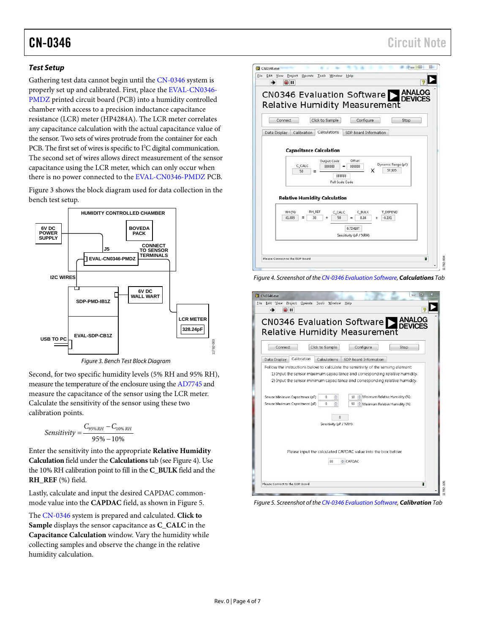# CN-0346 Circuit Note

### *Test Setup*

Gathering test data cannot begin until the [CN-0346 s](http://www.analog.com/cn0346?doc=cn0346.pdf)ystem is properly set up and calibrated. First, place the [EVAL-CN0346-](http://www.analog.com/EVAL-CN0346-PMDZ?doc=cn0346.pdf) [PMDZ](http://www.analog.com/EVAL-CN0346-PMDZ?doc=cn0346.pdf) printed circuit board (PCB) into a humidity controlled chamber with access to a precision inductance capacitance resistance (LCR) meter (HP4284A). The LCR meter correlates any capacitance calculation with the actual capacitance value of the sensor. Two sets of wires protrude from the container for each PCB. The first set of wires is specific to I<sup>2</sup>C digital communication. The second set of wires allows direct measurement of the sensor capacitance using the LCR meter, which can only occur when there is no power connected to th[e EVAL-CN0346-PMDZ](http://www.analog.com/EVAL-CN0346-PMDZ?doc=cn0346.pdf) PCB.

[Figure 3](#page-3-0) shows the block diagram used for data collection in the bench test setup.



*Figure 3. Bench Test Block Diagram*

<span id="page-3-0"></span>Second, for two specific humidity levels (5% RH and 95% RH), measure the temperature of the enclosure using th[e AD7745](http://www.analog.com/AD7745?doc=CN0346.pdf) and measure the capacitance of the sensor using the LCR meter. Calculate the sensitivity of the sensor using these two calibration points.

$$
Sensitivity = \frac{C_{95\%RH} - C_{10\%RH}}{95\% - 10\%}
$$

Enter the sensitivity into the appropriate **Relative Humidity Calculation** field under the **Calculations**tab (se[e Figure 4\)](#page-3-1). Use the 10% RH calibration point to fill in the **C\_BULK** field and the **RH\_REF** (%) field.

Lastly, calculate and input the desired CAPDAC commonmode value into the **CAPDAC** field, as shown in [Figure 5.](#page-3-2)

The [CN-0346](http://www.analog.com/cn0346?doc=cn0346.pdf) system is prepared and calculated. **Click to Sample** displays the sensor capacitance as **C\_CALC** in the **Capacitance Calculation** window. Vary the humidity while collecting samples and observe the change in the relative humidity calculation.



<span id="page-3-1"></span>*Figure 4. Screenshot of th[e CN-0346 Evaluation Software,](ftp://ftp.analog.com/pub/cftl/CN0346) Calculations Tab* 



*Figure 5. Screenshot of th[e CN-0346 Evaluation Software,](ftp://ftp.analog.com/pub/cftl/CN0346) Calibration Tab* 

<span id="page-3-2"></span>11782-003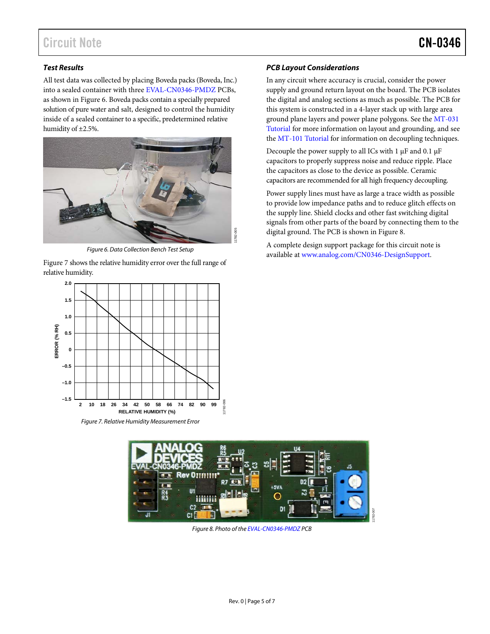# Circuit Note **CN-0346**

### *Test Results*

All test data was collected by placing Boveda packs (Boveda, Inc.) into a sealed container with thre[e EVAL-CN0346-PMDZ](http://www.analog.com/EVAL-CN0346-PMDZ?doc=cn0346.pdf) PCBs, as shown in [Figure 6.](#page-4-0) Boveda packs contain a specially prepared solution of pure water and salt, designed to control the humidity inside of a sealed container to a specific, predetermined relative humidity of ±2.5%.



*Figure 6. Data Collection Bench Test Setup*

<span id="page-4-0"></span>[Figure 7](#page-4-1) shows the relative humidity error over the full range of relative humidity.



### *PCB Layout Considerations*

In any circuit where accuracy is crucial, consider the power supply and ground return layout on the board. The PCB isolates the digital and analog sections as much as possible. The PCB for this system is constructed in a 4-layer stack up with large area ground plane layers and power plane polygons. See th[e MT-031](http://www.analog.com/MT-031?doc=CN0346.pdf)  [Tutorial](http://www.analog.com/MT-031?doc=CN0346.pdf) for more information on layout and grounding, and see the [MT-101 Tutorial](http://www.analog.com/MT-101?doc=cn0346.pdf) for information on decoupling techniques.

Decouple the power supply to all ICs with 1 µF and 0.1 µF capacitors to properly suppress noise and reduce ripple. Place the capacitors as close to the device as possible. Ceramic capacitors are recommended for all high frequency decoupling.

Power supply lines must have as large a trace width as possible to provide low impedance paths and to reduce glitch effects on the supply line. Shield clocks and other fast switching digital signals from other parts of the board by connecting them to the digital ground. The PCB is shown in [Figure 8.](#page-4-2)

11782-007

A complete design support package for this circuit note is available at [www.analog.com/CN0346-DesignSupport.](http://www.analog.com/CN0346-DesignSupport?doc=cn0346.pdf)

<span id="page-4-2"></span><span id="page-4-1"></span>

*Figure 8. Photo of the [EVAL-CN0346-PMDZ](http://www.analog.com/EVAL-CN0346-PMDZ?doc=cn0346.pdf) PCB*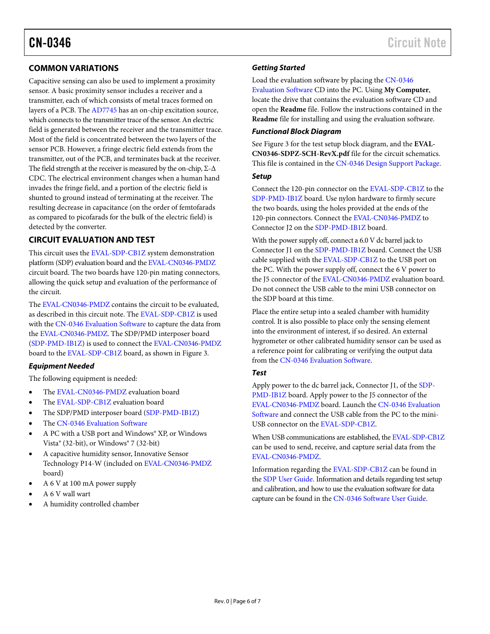## **COMMON VARIATIONS**

Capacitive sensing can also be used to implement a proximity sensor. A basic proximity sensor includes a receiver and a transmitter, each of which consists of metal traces formed on layers of a PCB. Th[e AD7745](http://www.analog.com/AD7745?doc=CN0346.pdf) has an on-chip excitation source, which connects to the transmitter trace of the sensor. An electric field is generated between the receiver and the transmitter trace. Most of the field is concentrated between the two layers of the sensor PCB. However, a fringe electric field extends from the transmitter, out of the PCB, and terminates back at the receiver. The field strength at the receiver is measured by the on-chip,  $\Sigma$ - $\Delta$ CDC. The electrical environment changes when a human hand invades the fringe field, and a portion of the electric field is shunted to ground instead of terminating at the receiver. The resulting decrease in capacitance (on the order of femtofarads as compared to picofarads for the bulk of the electric field) is detected by the converter.

### **CIRCUIT EVALUATION AND TEST**

This circuit uses the [EVAL-SDP-CB1Z](http://www.analog.com/EVAL-SDP-CB1Z?doc=cn0346.pdf) system demonstration platform (SDP) evaluation board and th[e EVAL-CN0346-PMDZ](http://www.analog.com/EVAL-CN0346-PMDZ?doc=cn0346.pdf) circuit board. The two boards have 120-pin mating connectors, allowing the quick setup and evaluation of the performance of the circuit.

The [EVAL-CN0346-PMDZ](http://www.analog.com/EVAL-CN0346-PMDZ?doc=cn0346.pdf) contains the circuit to be evaluated, as described in this circuit note. Th[e EVAL-SDP-CB1Z](http://www.analog.com/EVAL-SDP-CB1Z?doc=cn0346.pdf) is used with th[e CN-0346 Evaluation Software](ftp://ftp.analog.com/pub/cftl/CN0346) to capture the data from the [EVAL-CN0346-PMDZ.](http://www.analog.com/EVAL-CN0346-PMDZ?doc=cn0346.pdf) The [SDP/PMD interposer board](http://www.analog.com/SDP-PMD-IB1Z?doc=cn0346.pdf)  [\(SDP-PMD-IB1Z\)](http://www.analog.com/SDP-PMD-IB1Z?doc=cn0346.pdf) is used to connect th[e EVAL-CN0346-PMDZ](http://www.analog.com/EVAL-CN0346-PMDZ?doc=cn0346.pdf) board to th[e EVAL-SDP-CB1Z](http://www.analog.com/EVAL-SDP-CB1Z?doc=cn0346.pdf) board, as shown in [Figure 3.](#page-3-0)

### *Equipment Needed*

The following equipment is needed:

- The [EVAL-CN0346-PMDZ](http://www.analog.com/EVAL-CN0346-PMDZ?doc=cn0346.pdf) evaluation board
- The [EVAL-SDP-CB1Z](http://www.analog.com/EVAL-SDP-CB1Z?doc=cn0346.pdf) evaluation board
- The SDP/PMD interposer board [\(SDP-PMD-IB1Z\)](http://www.analog.com/SDP-PMD-IB1Z?doc=cn0346.pdf)
- The [CN-0346 Evaluation Software](ftp://ftp.analog.com/pub/cftl/CN0346)
- A PC with a USB port and Windows® XP, or Windows Vista® (32-bit), or Windows® 7 (32-bit)
- A capacitive humidity sensor, Innovative Sensor Technology P14-W (included o[n EVAL-CN0346-PMDZ](http://www.analog.com/EVAL-CN0346-PMDZ?doc=cn0346.pdf) board)
- A 6 V at 100 mA power supply
- A 6 V wall wart
- A humidity controlled chamber

### *Getting Started*

Load the evaluation software by placing th[e CN-0346](ftp://ftp.analog.com/pub/cftl/CN0346)  [Evaluation Software](ftp://ftp.analog.com/pub/cftl/CN0346) CD into the PC. Using **My Computer**,

locate the drive that contains the evaluation software CD and open the **Readme** file. Follow the instructions contained in the **Readme** file for installing and using the evaluation software.

### *Functional Block Diagram*

See [Figure 3](#page-3-0) for the test setup block diagram, and the **EVAL-CN0346-SDPZ-SCH-RevX.pdf** file for the circuit schematics. This file is contained in the [CN-0346 Design Support Package.](http://www.analog.com/CN0346-DesignSupport?doc=CN0346.pdf)

### *Setup*

Connect the 120-pin connector on th[e EVAL-SDP-CB1Z](http://www.analog.com/EVAL-SDP-CB1Z?doc=cn0346.pdf) to the [SDP-PMD-IB1Z](http://www.analog.com/SDP-PMD-IB1Z?doc=cn0346.pdf) board. Use nylon hardware to firmly secure the two boards, using the holes provided at the ends of the 120-pin connectors. Connect the [EVAL-CN0346-PMDZ](http://www.analog.com/EVAL-CN0346-PMDZ?doc=cn0346.pdf) to Connector J2 on the [SDP-PMD-IB1Z](http://www.analog.com/SDP-PMD-IB1Z?doc=cn0346.pdf) board.

With the power supply off, connect a 6.0 V dc barrel jack to Connector J1 on the [SDP-PMD-IB1Z](http://www.analog.com/SDP-PMD-IB1Z?doc=cn0346.pdf) board. Connect the USB cable supplied with the [EVAL-SDP-CB1Z](http://www.analog.com/EVAL-SDP-CB1Z?doc=cn0346.pdf) to the USB port on the PC. With the power supply off, connect the 6 V power to the J5 connector of th[e EVAL-CN0346-PMDZ](http://www.analog.com/EVAL-CN0346-PMDZ?doc=cn0346.pdf) evaluation board. Do not connect the USB cable to the mini USB connector on the SDP board at this time.

Place the entire setup into a sealed chamber with humidity control. It is also possible to place only the sensing element into the environment of interest, if so desired. An external hygrometer or other calibrated humidity sensor can be used as a reference point for calibrating or verifying the output data from the [CN-0346 Evaluation Software.](ftp://ftp.analog.com/pub/cftl/CN0346)

### *Test*

Apply power to the dc barrel jack, Connector J1, of the [SDP-](http://www.analog.com/SDP-PMD-IB1Z?doc=cn0346.pdf)[PMD-IB1Z](http://www.analog.com/SDP-PMD-IB1Z?doc=cn0346.pdf) board. Apply power to the J5 connector of the [EVAL-CN0346-PMDZ](http://www.analog.com/EVAL-CN0346-PMDZ?doc=cn0346.pdf) board. Launch th[e CN-0346 Evaluation](ftp://ftp.analog.com/pub/cftl/CN0346)  [Software](ftp://ftp.analog.com/pub/cftl/CN0346) and connect the USB cable from the PC to the mini-USB connector on the [EVAL-SDP-CB1Z.](http://www.analog.com/EVAL-SDP-CB1Z?doc=cn0346.pdf)

When USB communications are established, th[e EVAL-SDP-CB1Z](http://www.analog.com/EVAL-SDP-CB1Z?doc=cn0346.pdf) can be used to send, receive, and capture serial data from the [EVAL-CN0346-PMDZ.](http://www.analog.com/EVAL-CN0346-PMDZ?doc=cn0346.pdf)

Information regarding th[e EVAL-SDP-CB1Z](http://www.analog.com/EVAL-SDP-CB1Z?doc=cn0346.pdf) can be found in the [SDP User Guide.](http://www.analog.com/system_dev_platform?doc=CN0346.pdf) Information and details regarding test setup and calibration, and how to use the evaluation software for data capture can be found in the [CN-0346 Software User Guide.](http://www.analog.com/CN0346-UserGuide?doc=cn0346.pdf)